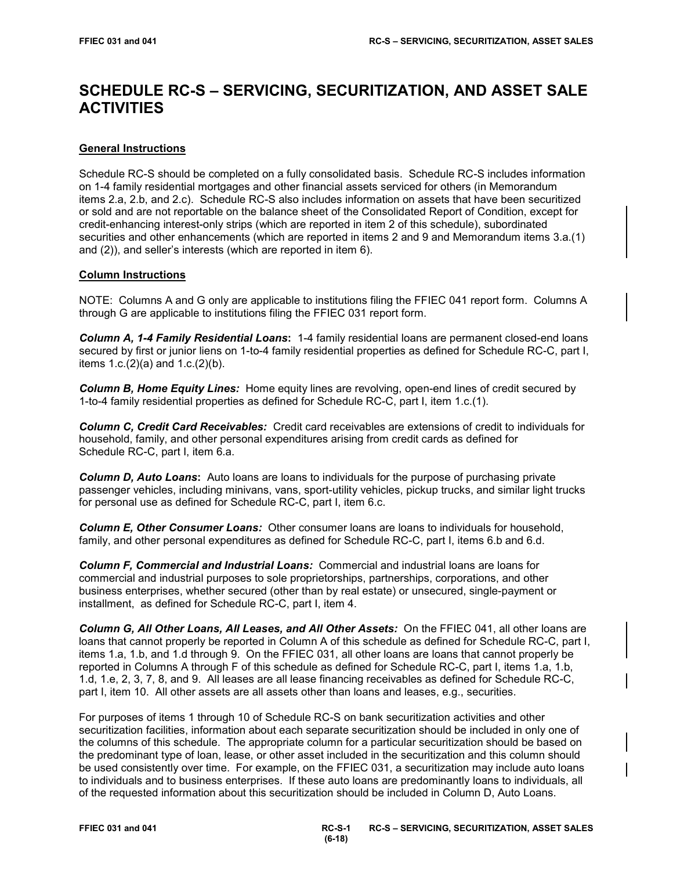# **SCHEDULE RC-S – SERVICING, SECURITIZATION, AND ASSET SALE ACTIVITIES**

# **General Instructions**

Schedule RC-S should be completed on a fully consolidated basis. Schedule RC-S includes information on 1-4 family residential mortgages and other financial assets serviced for others (in Memorandum items 2.a, 2.b, and 2.c). Schedule RC-S also includes information on assets that have been securitized or sold and are not reportable on the balance sheet of the Consolidated Report of Condition, except for credit-enhancing interest-only strips (which are reported in item 2 of this schedule), subordinated securities and other enhancements (which are reported in items 2 and 9 and Memorandum items 3.a.(1) and (2)), and seller's interests (which are reported in item 6).

# **Column Instructions**

NOTE: Columns A and G only are applicable to institutions filing the FFIEC 041 report form. Columns A through G are applicable to institutions filing the FFIEC 031 report form.

*Column A, 1-4 Family Residential Loans***:** 1-4 family residential loans are permanent closed-end loans secured by first or junior liens on 1-to-4 family residential properties as defined for Schedule RC-C, part I, items 1.c.(2)(a) and 1.c.(2)(b).

**Column B, Home Equity Lines:** Home equity lines are revolving, open-end lines of credit secured by 1-to-4 family residential properties as defined for Schedule RC-C, part I, item 1.c.(1).

*Column C, Credit Card Receivables:* Credit card receivables are extensions of credit to individuals for household, family, and other personal expenditures arising from credit cards as defined for Schedule RC-C, part I, item 6.a.

*Column D, Auto Loans***:** Auto loans are loans to individuals for the purpose of purchasing private passenger vehicles, including minivans, vans, sport-utility vehicles, pickup trucks, and similar light trucks for personal use as defined for Schedule RC-C, part I, item 6.c.

*Column E, Other Consumer Loans:* Other consumer loans are loans to individuals for household, family, and other personal expenditures as defined for Schedule RC-C, part I, items 6.b and 6.d.

*Column F, Commercial and Industrial Loans:* Commercial and industrial loans are loans for commercial and industrial purposes to sole proprietorships, partnerships, corporations, and other business enterprises, whether secured (other than by real estate) or unsecured, single-payment or installment, as defined for Schedule RC-C, part I, item 4.

*Column G, All Other Loans, All Leases, and All Other Assets:* On the FFIEC 041, all other loans are loans that cannot properly be reported in Column A of this schedule as defined for Schedule RC-C, part I, items 1.a, 1.b, and 1.d through 9. On the FFIEC 031, all other loans are loans that cannot properly be reported in Columns A through F of this schedule as defined for Schedule RC-C, part I, items 1.a, 1.b, 1.d, 1.e, 2, 3, 7, 8, and 9. All leases are all lease financing receivables as defined for Schedule RC-C, part I, item 10. All other assets are all assets other than loans and leases, e.g., securities.

For purposes of items 1 through 10 of Schedule RC-S on bank securitization activities and other securitization facilities, information about each separate securitization should be included in only one of the columns of this schedule. The appropriate column for a particular securitization should be based on the predominant type of loan, lease, or other asset included in the securitization and this column should be used consistently over time. For example, on the FFIEC 031, a securitization may include auto loans to individuals and to business enterprises. If these auto loans are predominantly loans to individuals, all of the requested information about this securitization should be included in Column D, Auto Loans.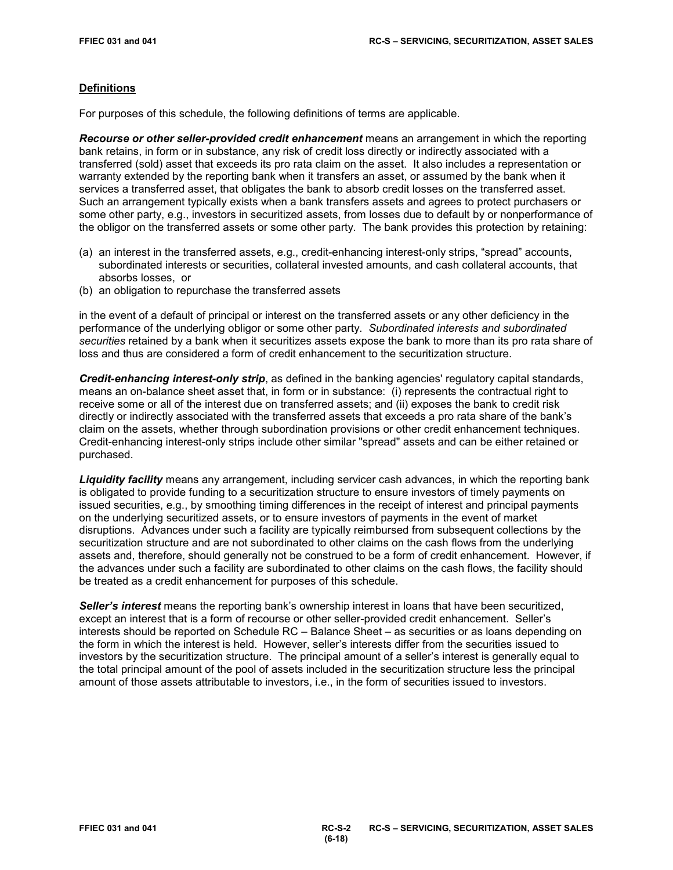# **Definitions**

For purposes of this schedule, the following definitions of terms are applicable.

*Recourse or other seller-provided credit enhancement* means an arrangement in which the reporting bank retains, in form or in substance, any risk of credit loss directly or indirectly associated with a transferred (sold) asset that exceeds its pro rata claim on the asset. It also includes a representation or warranty extended by the reporting bank when it transfers an asset, or assumed by the bank when it services a transferred asset, that obligates the bank to absorb credit losses on the transferred asset. Such an arrangement typically exists when a bank transfers assets and agrees to protect purchasers or some other party, e.g., investors in securitized assets, from losses due to default by or nonperformance of the obligor on the transferred assets or some other party. The bank provides this protection by retaining:

- (a) an interest in the transferred assets, e.g., credit-enhancing interest-only strips, "spread" accounts, subordinated interests or securities, collateral invested amounts, and cash collateral accounts, that absorbs losses, or
- (b) an obligation to repurchase the transferred assets

in the event of a default of principal or interest on the transferred assets or any other deficiency in the performance of the underlying obligor or some other party. *Subordinated interests and subordinated securities* retained by a bank when it securitizes assets expose the bank to more than its pro rata share of loss and thus are considered a form of credit enhancement to the securitization structure.

*Credit-enhancing interest-only strip*, as defined in the banking agencies' regulatory capital standards, means an on-balance sheet asset that, in form or in substance: (i) represents the contractual right to receive some or all of the interest due on transferred assets; and (ii) exposes the bank to credit risk directly or indirectly associated with the transferred assets that exceeds a pro rata share of the bank's claim on the assets, whether through subordination provisions or other credit enhancement techniques. Credit-enhancing interest-only strips include other similar "spread" assets and can be either retained or purchased.

*Liquidity facility* means any arrangement, including servicer cash advances, in which the reporting bank is obligated to provide funding to a securitization structure to ensure investors of timely payments on issued securities, e.g., by smoothing timing differences in the receipt of interest and principal payments on the underlying securitized assets, or to ensure investors of payments in the event of market disruptions. Advances under such a facility are typically reimbursed from subsequent collections by the securitization structure and are not subordinated to other claims on the cash flows from the underlying assets and, therefore, should generally not be construed to be a form of credit enhancement. However, if the advances under such a facility are subordinated to other claims on the cash flows, the facility should be treated as a credit enhancement for purposes of this schedule.

*Seller's interest* means the reporting bank's ownership interest in loans that have been securitized, except an interest that is a form of recourse or other seller-provided credit enhancement. Seller's interests should be reported on Schedule RC – Balance Sheet – as securities or as loans depending on the form in which the interest is held. However, seller's interests differ from the securities issued to investors by the securitization structure. The principal amount of a seller's interest is generally equal to the total principal amount of the pool of assets included in the securitization structure less the principal amount of those assets attributable to investors, i.e., in the form of securities issued to investors.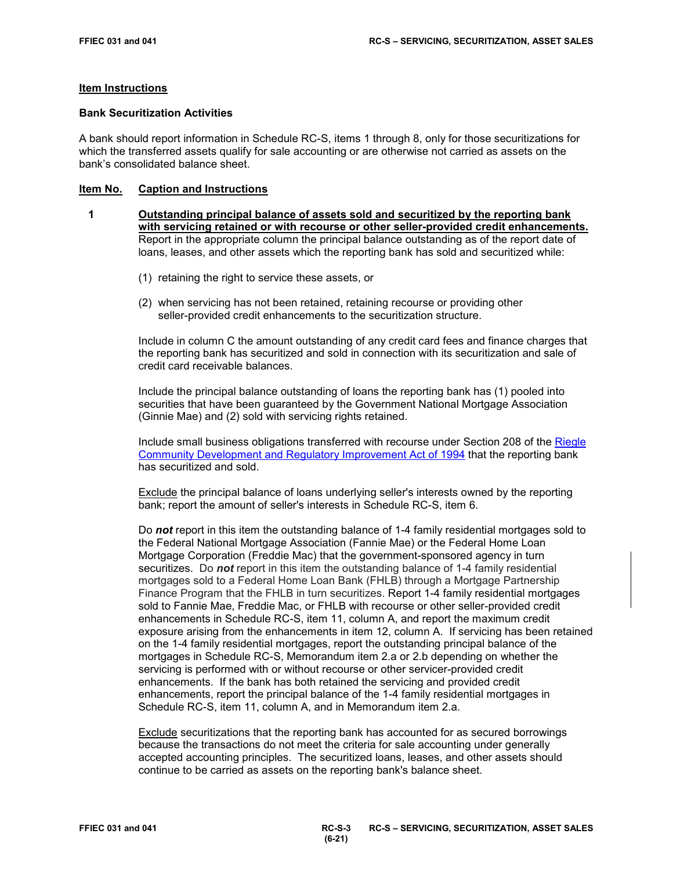#### **Item Instructions**

#### **Bank Securitization Activities**

A bank should report information in Schedule RC-S, items 1 through 8, only for those securitizations for which the transferred assets qualify for sale accounting or are otherwise not carried as assets on the bank's consolidated balance sheet.

#### **Item No. Caption and Instructions**

- **1 Outstanding principal balance of assets sold and securitized by the reporting bank with servicing retained or with recourse or other seller-provided credit enhancements.** Report in the appropriate column the principal balance outstanding as of the report date of loans, leases, and other assets which the reporting bank has sold and securitized while:
	- (1) retaining the right to service these assets, or
	- (2) when servicing has not been retained, retaining recourse or providing other seller-provided credit enhancements to the securitization structure.

Include in column C the amount outstanding of any credit card fees and finance charges that the reporting bank has securitized and sold in connection with its securitization and sale of credit card receivable balances.

Include the principal balance outstanding of loans the reporting bank has (1) pooled into securities that have been guaranteed by the Government National Mortgage Association (Ginnie Mae) and (2) sold with servicing rights retained.

Include small business obligations transferred with recourse under Section 208 of the [Riegle](https://www.gpo.gov/fdsys/pkg/STATUTE-108/pdf/STATUTE-108-Pg2160.pdf)  [Community Development and Regulatory Improvement Act of 1994](https://www.gpo.gov/fdsys/pkg/STATUTE-108/pdf/STATUTE-108-Pg2160.pdf) that the reporting bank has securitized and sold.

Exclude the principal balance of loans underlying seller's interests owned by the reporting bank; report the amount of seller's interests in Schedule RC-S, item 6.

Do *not* report in this item the outstanding balance of 1-4 family residential mortgages sold to the Federal National Mortgage Association (Fannie Mae) or the Federal Home Loan Mortgage Corporation (Freddie Mac) that the government-sponsored agency in turn securitizes. Do *not* report in this item the outstanding balance of 1-4 family residential mortgages sold to a Federal Home Loan Bank (FHLB) through a Mortgage Partnership Finance Program that the FHLB in turn securitizes. Report 1-4 family residential mortgages sold to Fannie Mae, Freddie Mac, or FHLB with recourse or other seller-provided credit enhancements in Schedule RC-S, item 11, column A, and report the maximum credit exposure arising from the enhancements in item 12, column A. If servicing has been retained on the 1-4 family residential mortgages, report the outstanding principal balance of the mortgages in Schedule RC-S, Memorandum item 2.a or 2.b depending on whether the servicing is performed with or without recourse or other servicer-provided credit enhancements. If the bank has both retained the servicing and provided credit enhancements, report the principal balance of the 1-4 family residential mortgages in Schedule RC-S, item 11, column A, and in Memorandum item 2.a.

Exclude securitizations that the reporting bank has accounted for as secured borrowings because the transactions do not meet the criteria for sale accounting under generally accepted accounting principles. The securitized loans, leases, and other assets should continue to be carried as assets on the reporting bank's balance sheet.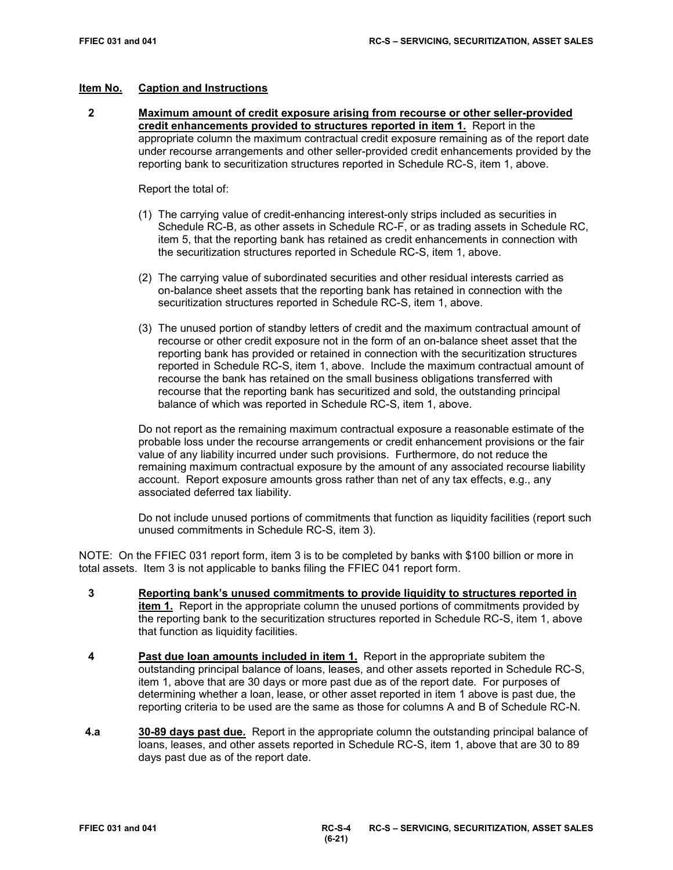**2 Maximum amount of credit exposure arising from recourse or other seller-provided credit enhancements provided to structures reported in item 1.** Report in the appropriate column the maximum contractual credit exposure remaining as of the report date under recourse arrangements and other seller-provided credit enhancements provided by the reporting bank to securitization structures reported in Schedule RC-S, item 1, above.

Report the total of:

- (1) The carrying value of credit-enhancing interest-only strips included as securities in Schedule RC-B, as other assets in Schedule RC-F, or as trading assets in Schedule RC, item 5, that the reporting bank has retained as credit enhancements in connection with the securitization structures reported in Schedule RC-S, item 1, above.
- (2) The carrying value of subordinated securities and other residual interests carried as on-balance sheet assets that the reporting bank has retained in connection with the securitization structures reported in Schedule RC-S, item 1, above.
- (3) The unused portion of standby letters of credit and the maximum contractual amount of recourse or other credit exposure not in the form of an on-balance sheet asset that the reporting bank has provided or retained in connection with the securitization structures reported in Schedule RC-S, item 1, above. Include the maximum contractual amount of recourse the bank has retained on the small business obligations transferred with recourse that the reporting bank has securitized and sold, the outstanding principal balance of which was reported in Schedule RC-S, item 1, above.

Do not report as the remaining maximum contractual exposure a reasonable estimate of the probable loss under the recourse arrangements or credit enhancement provisions or the fair value of any liability incurred under such provisions. Furthermore, do not reduce the remaining maximum contractual exposure by the amount of any associated recourse liability account. Report exposure amounts gross rather than net of any tax effects, e.g., any associated deferred tax liability.

 Do not include unused portions of commitments that function as liquidity facilities (report such unused commitments in Schedule RC-S, item 3).

NOTE: On the FFIEC 031 report form, item 3 is to be completed by banks with \$100 billion or more in total assets. Item 3 is not applicable to banks filing the FFIEC 041 report form.

- **3 Reporting bank's unused commitments to provide liquidity to structures reported in item 1.** Report in the appropriate column the unused portions of commitments provided by the reporting bank to the securitization structures reported in Schedule RC-S, item 1, above that function as liquidity facilities.
- **4 Past due loan amounts included in item 1.** Report in the appropriate subitem the outstanding principal balance of loans, leases, and other assets reported in Schedule RC-S, item 1, above that are 30 days or more past due as of the report date. For purposes of determining whether a loan, lease, or other asset reported in item 1 above is past due, the reporting criteria to be used are the same as those for columns A and B of Schedule RC-N.
- **4.a 30-89 days past due.** Report in the appropriate column the outstanding principal balance of loans, leases, and other assets reported in Schedule RC-S, item 1, above that are 30 to 89 days past due as of the report date.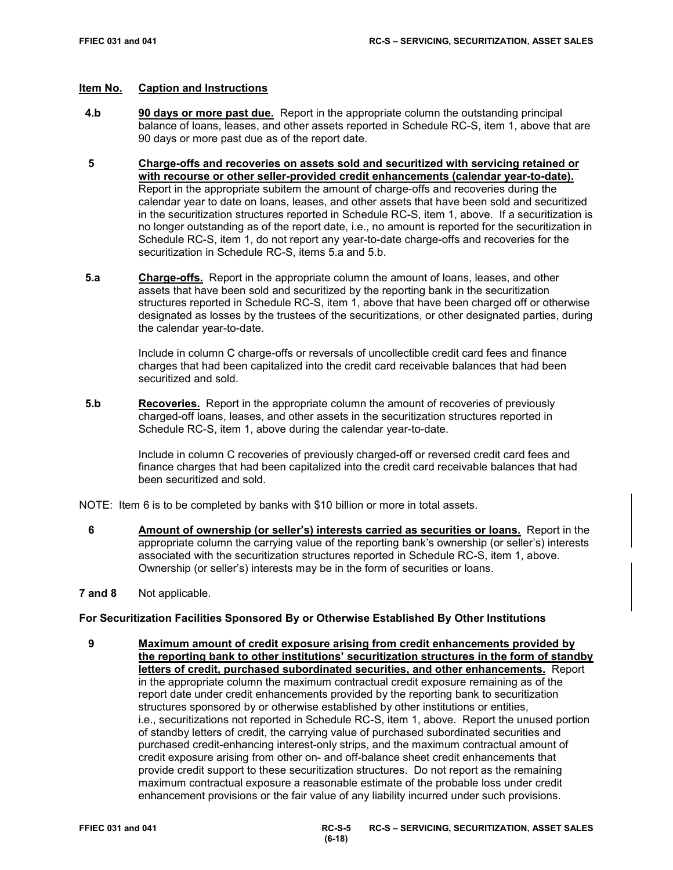- **4.b 90 days or more past due.** Report in the appropriate column the outstanding principal balance of loans, leases, and other assets reported in Schedule RC-S, item 1, above that are 90 days or more past due as of the report date.
- **5 Charge-offs and recoveries on assets sold and securitized with servicing retained or with recourse or other seller-provided credit enhancements (calendar year-to-date).**  Report in the appropriate subitem the amount of charge-offs and recoveries during the calendar year to date on loans, leases, and other assets that have been sold and securitized in the securitization structures reported in Schedule RC-S, item 1, above. If a securitization is no longer outstanding as of the report date, i.e., no amount is reported for the securitization in Schedule RC-S, item 1, do not report any year-to-date charge-offs and recoveries for the securitization in Schedule RC-S, items 5.a and 5.b.
- **5.a Charge-offs.** Report in the appropriate column the amount of loans, leases, and other assets that have been sold and securitized by the reporting bank in the securitization structures reported in Schedule RC-S, item 1, above that have been charged off or otherwise designated as losses by the trustees of the securitizations, or other designated parties, during the calendar year-to-date.

Include in column C charge-offs or reversals of uncollectible credit card fees and finance charges that had been capitalized into the credit card receivable balances that had been securitized and sold.

**5.b Recoveries.** Report in the appropriate column the amount of recoveries of previously charged-off loans, leases, and other assets in the securitization structures reported in Schedule RC-S, item 1, above during the calendar year-to-date.

> Include in column C recoveries of previously charged-off or reversed credit card fees and finance charges that had been capitalized into the credit card receivable balances that had been securitized and sold.

- NOTE: Item 6 is to be completed by banks with \$10 billion or more in total assets.
	- **6 Amount of ownership (or seller's) interests carried as securities or loans.** Report in the appropriate column the carrying value of the reporting bank's ownership (or seller's) interests associated with the securitization structures reported in Schedule RC-S, item 1, above. Ownership (or seller's) interests may be in the form of securities or loans.
- **7 and 8** Not applicable.

#### **For Securitization Facilities Sponsored By or Otherwise Established By Other Institutions**

 **9 Maximum amount of credit exposure arising from credit enhancements provided by the reporting bank to other institutions' securitization structures in the form of standby letters of credit, purchased subordinated securities, and other enhancements.** Report in the appropriate column the maximum contractual credit exposure remaining as of the report date under credit enhancements provided by the reporting bank to securitization structures sponsored by or otherwise established by other institutions or entities, i.e., securitizations not reported in Schedule RC-S, item 1, above. Report the unused portion of standby letters of credit, the carrying value of purchased subordinated securities and purchased credit-enhancing interest-only strips, and the maximum contractual amount of credit exposure arising from other on- and off-balance sheet credit enhancements that provide credit support to these securitization structures. Do not report as the remaining maximum contractual exposure a reasonable estimate of the probable loss under credit enhancement provisions or the fair value of any liability incurred under such provisions.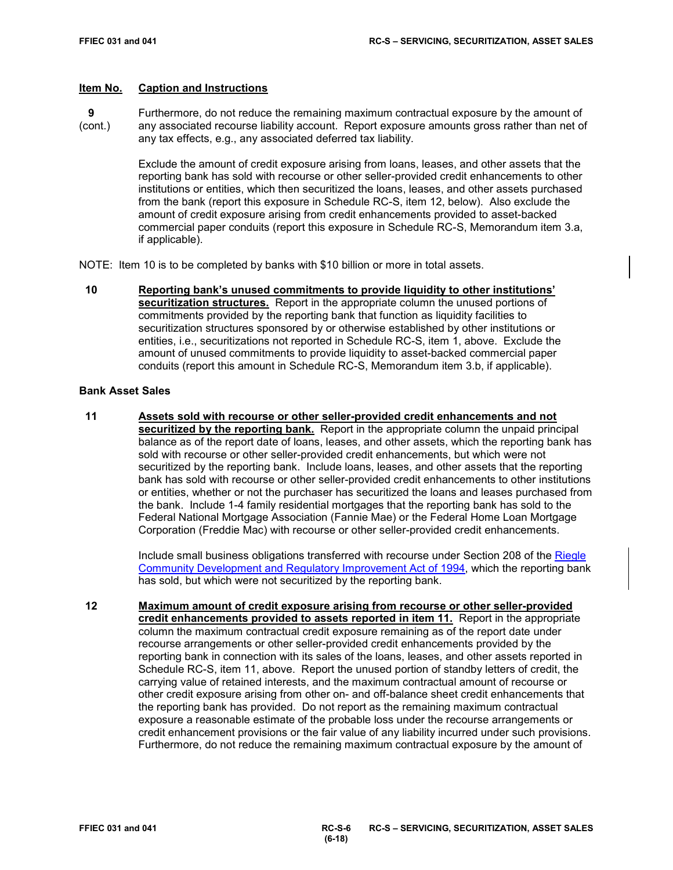**9** Furthermore, do not reduce the remaining maximum contractual exposure by the amount of (cont.) any associated recourse liability account. Report exposure amounts gross rather than net of any tax effects, e.g., any associated deferred tax liability.

> Exclude the amount of credit exposure arising from loans, leases, and other assets that the reporting bank has sold with recourse or other seller-provided credit enhancements to other institutions or entities, which then securitized the loans, leases, and other assets purchased from the bank (report this exposure in Schedule RC-S, item 12, below). Also exclude the amount of credit exposure arising from credit enhancements provided to asset-backed commercial paper conduits (report this exposure in Schedule RC-S, Memorandum item 3.a, if applicable).

NOTE: Item 10 is to be completed by banks with \$10 billion or more in total assets.

 **10 Reporting bank's unused commitments to provide liquidity to other institutions' securitization structures.** Report in the appropriate column the unused portions of commitments provided by the reporting bank that function as liquidity facilities to securitization structures sponsored by or otherwise established by other institutions or entities, i.e., securitizations not reported in Schedule RC-S, item 1, above. Exclude the amount of unused commitments to provide liquidity to asset-backed commercial paper conduits (report this amount in Schedule RC-S, Memorandum item 3.b, if applicable).

#### **Bank Asset Sales**

 **11 Assets sold with recourse or other seller-provided credit enhancements and not securitized by the reporting bank.** Report in the appropriate column the unpaid principal balance as of the report date of loans, leases, and other assets, which the reporting bank has sold with recourse or other seller-provided credit enhancements, but which were not securitized by the reporting bank. Include loans, leases, and other assets that the reporting bank has sold with recourse or other seller-provided credit enhancements to other institutions or entities, whether or not the purchaser has securitized the loans and leases purchased from the bank. Include 1-4 family residential mortgages that the reporting bank has sold to the Federal National Mortgage Association (Fannie Mae) or the Federal Home Loan Mortgage Corporation (Freddie Mac) with recourse or other seller-provided credit enhancements.

> Include small business obligations transferred with recourse under Section 208 of the [Riegle](https://www.gpo.gov/fdsys/pkg/STATUTE-108/pdf/STATUTE-108-Pg2160.pdf)  [Community Development and Regulatory Improvement Act of 1994,](https://www.gpo.gov/fdsys/pkg/STATUTE-108/pdf/STATUTE-108-Pg2160.pdf) which the reporting bank has sold, but which were not securitized by the reporting bank.

 **12 Maximum amount of credit exposure arising from recourse or other seller-provided credit enhancements provided to assets reported in item 11.** Report in the appropriate column the maximum contractual credit exposure remaining as of the report date under recourse arrangements or other seller-provided credit enhancements provided by the reporting bank in connection with its sales of the loans, leases, and other assets reported in Schedule RC-S, item 11, above. Report the unused portion of standby letters of credit, the carrying value of retained interests, and the maximum contractual amount of recourse or other credit exposure arising from other on- and off-balance sheet credit enhancements that the reporting bank has provided. Do not report as the remaining maximum contractual exposure a reasonable estimate of the probable loss under the recourse arrangements or credit enhancement provisions or the fair value of any liability incurred under such provisions. Furthermore, do not reduce the remaining maximum contractual exposure by the amount of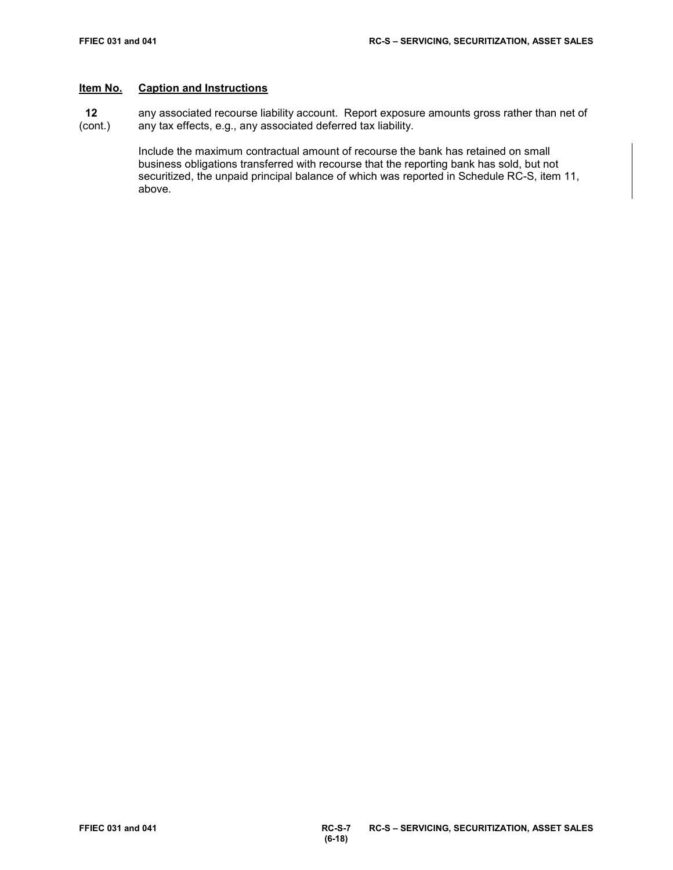**12** any associated recourse liability account. Report exposure amounts gross rather than net of (cont.) any tax effects, e.g., any associated deferred tax liability. any tax effects, e.g., any associated deferred tax liability.

> Include the maximum contractual amount of recourse the bank has retained on small business obligations transferred with recourse that the reporting bank has sold, but not securitized, the unpaid principal balance of which was reported in Schedule RC-S, item 11, above.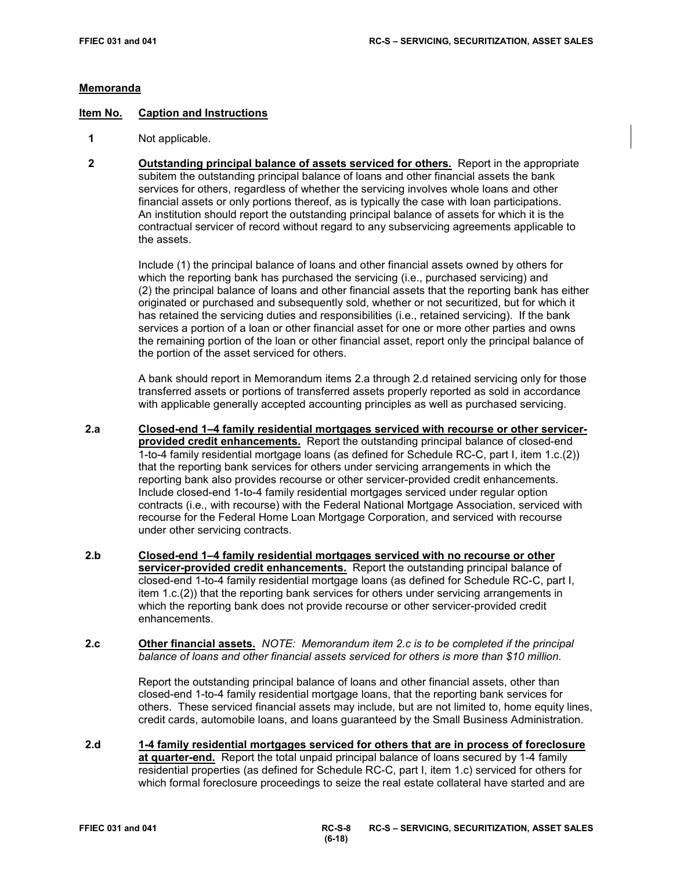## **Memoranda**

## **Item No. Caption and Instructions**

- **1** Not applicable.
- **2 Outstanding principal balance of assets serviced for others.** Report in the appropriate subitem the outstanding principal balance of loans and other financial assets the bank services for others, regardless of whether the servicing involves whole loans and other financial assets or only portions thereof, as is typically the case with loan participations. An institution should report the outstanding principal balance of assets for which it is the contractual servicer of record without regard to any subservicing agreements applicable to the assets.

Include (1) the principal balance of loans and other financial assets owned by others for which the reporting bank has purchased the servicing (i.e., purchased servicing) and (2) the principal balance of loans and other financial assets that the reporting bank has either originated or purchased and subsequently sold, whether or not securitized, but for which it has retained the servicing duties and responsibilities (i.e., retained servicing). If the bank services a portion of a loan or other financial asset for one or more other parties and owns the remaining portion of the loan or other financial asset, report only the principal balance of the portion of the asset serviced for others.

A bank should report in Memorandum items 2.a through 2.d retained servicing only for those transferred assets or portions of transferred assets properly reported as sold in accordance with applicable generally accepted accounting principles as well as purchased servicing.

- **2.a Closed-end 1–4 family residential mortgages serviced with recourse or other servicerprovided credit enhancements.** Report the outstanding principal balance of closed-end 1-to-4 family residential mortgage loans (as defined for Schedule RC-C, part I, item 1.c.(2)) that the reporting bank services for others under servicing arrangements in which the reporting bank also provides recourse or other servicer-provided credit enhancements. Include closed-end 1-to-4 family residential mortgages serviced under regular option contracts (i.e., with recourse) with the Federal National Mortgage Association, serviced with recourse for the Federal Home Loan Mortgage Corporation, and serviced with recourse under other servicing contracts.
- **2.b Closed-end 1–4 family residential mortgages serviced with no recourse or other servicer-provided credit enhancements.** Report the outstanding principal balance of closed-end 1-to-4 family residential mortgage loans (as defined for Schedule RC-C, part I, item 1.c.(2)) that the reporting bank services for others under servicing arrangements in which the reporting bank does not provide recourse or other servicer-provided credit enhancements.
- **2.c Other financial assets.** *NOTE: Memorandum item 2.c is to be completed if the principal balance of loans and other financial assets serviced for others is more than \$10 million.*

Report the outstanding principal balance of loans and other financial assets, other than closed-end 1-to-4 family residential mortgage loans, that the reporting bank services for others. These serviced financial assets may include, but are not limited to, home equity lines, credit cards, automobile loans, and loans guaranteed by the Small Business Administration.

 **2.d 1-4 family residential mortgages serviced for others that are in process of foreclosure at quarter-end.** Report the total unpaid principal balance of loans secured by 1-4 family residential properties (as defined for Schedule RC-C, part I, item 1.c) serviced for others for which formal foreclosure proceedings to seize the real estate collateral have started and are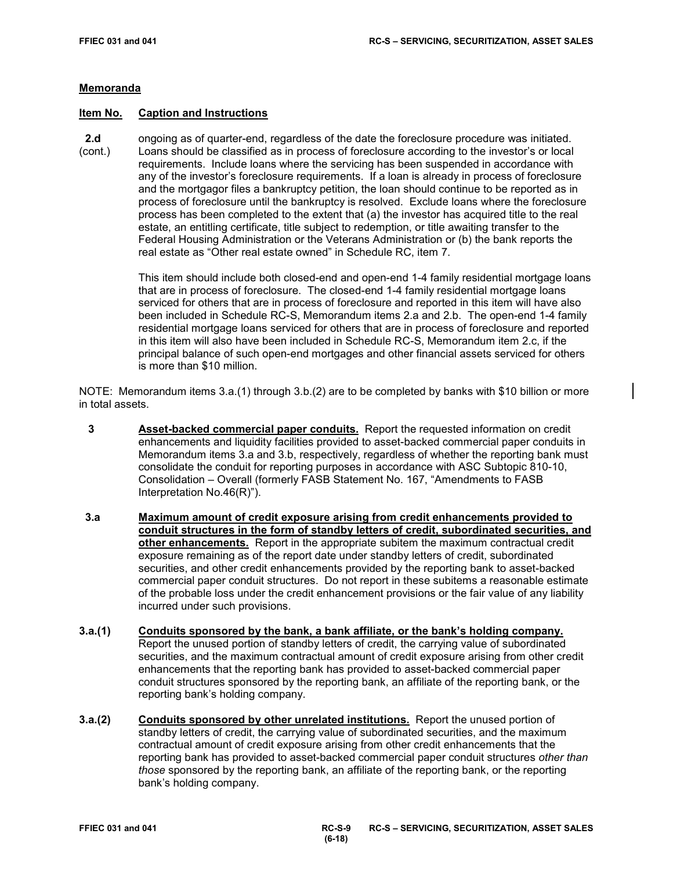## **Memoranda**

#### **Item No. Caption and Instructions**

**2.d** ongoing as of quarter-end, regardless of the date the foreclosure procedure was initiated.<br>(cont.) Loans should be classified as in process of foreclosure according to the investor's or local Loans should be classified as in process of foreclosure according to the investor's or local requirements. Include loans where the servicing has been suspended in accordance with any of the investor's foreclosure requirements. If a loan is already in process of foreclosure and the mortgagor files a bankruptcy petition, the loan should continue to be reported as in process of foreclosure until the bankruptcy is resolved. Exclude loans where the foreclosure process has been completed to the extent that (a) the investor has acquired title to the real estate, an entitling certificate, title subject to redemption, or title awaiting transfer to the Federal Housing Administration or the Veterans Administration or (b) the bank reports the real estate as "Other real estate owned" in Schedule RC, item 7.

> This item should include both closed-end and open-end 1-4 family residential mortgage loans that are in process of foreclosure. The closed-end 1-4 family residential mortgage loans serviced for others that are in process of foreclosure and reported in this item will have also been included in Schedule RC-S, Memorandum items 2.a and 2.b. The open-end 1-4 family residential mortgage loans serviced for others that are in process of foreclosure and reported in this item will also have been included in Schedule RC-S, Memorandum item 2.c, if the principal balance of such open-end mortgages and other financial assets serviced for others is more than \$10 million.

NOTE: Memorandum items 3.a.(1) through 3.b.(2) are to be completed by banks with \$10 billion or more in total assets.

- **3 Asset-backed commercial paper conduits.** Report the requested information on credit enhancements and liquidity facilities provided to asset-backed commercial paper conduits in Memorandum items 3.a and 3.b, respectively, regardless of whether the reporting bank must consolidate the conduit for reporting purposes in accordance with ASC Subtopic 810-10, Consolidation – Overall (formerly FASB Statement No. 167, "Amendments to FASB Interpretation No.46(R)").
- **3.a Maximum amount of credit exposure arising from credit enhancements provided to conduit structures in the form of standby letters of credit, subordinated securities, and other enhancements.** Report in the appropriate subitem the maximum contractual credit exposure remaining as of the report date under standby letters of credit, subordinated securities, and other credit enhancements provided by the reporting bank to asset-backed commercial paper conduit structures. Do not report in these subitems a reasonable estimate of the probable loss under the credit enhancement provisions or the fair value of any liability incurred under such provisions.
- **3.a.(1) Conduits sponsored by the bank, a bank affiliate, or the bank's holding company.** Report the unused portion of standby letters of credit, the carrying value of subordinated securities, and the maximum contractual amount of credit exposure arising from other credit enhancements that the reporting bank has provided to asset-backed commercial paper conduit structures sponsored by the reporting bank, an affiliate of the reporting bank, or the reporting bank's holding company.
- **3.a.(2) Conduits sponsored by other unrelated institutions.** Report the unused portion of standby letters of credit, the carrying value of subordinated securities, and the maximum contractual amount of credit exposure arising from other credit enhancements that the reporting bank has provided to asset-backed commercial paper conduit structures *other than those* sponsored by the reporting bank, an affiliate of the reporting bank, or the reporting bank's holding company.